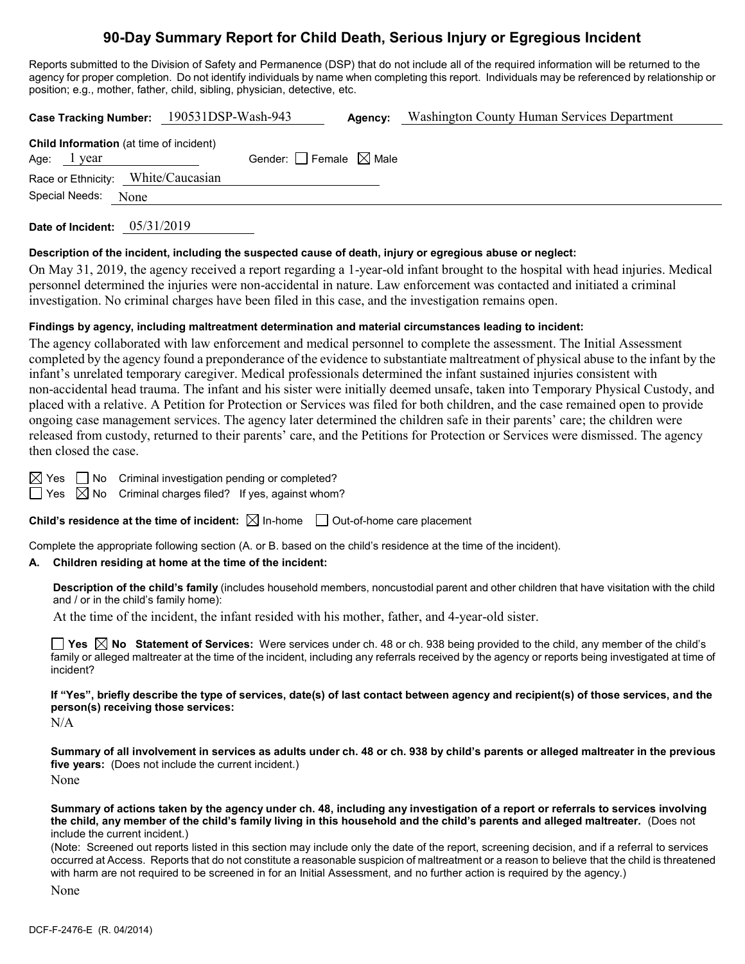# **90-Day Summary Report for Child Death, Serious Injury or Egregious Incident**

Reports submitted to the Division of Safety and Permanence (DSP) that do not include all of the required information will be returned to the agency for proper completion. Do not identify individuals by name when completing this report. Individuals may be referenced by relationship or position; e.g., mother, father, child, sibling, physician, detective, etc.

| Case Tracking Number: 190531DSP-Wash-943                         |                                 | Agency: | Washington County Human Services Department |
|------------------------------------------------------------------|---------------------------------|---------|---------------------------------------------|
| <b>Child Information</b> (at time of incident)<br>Age:<br>l year | Gender: Female $\boxtimes$ Male |         |                                             |
| Race or Ethnicity: White/Caucasian<br>Special Needs:<br>None     |                                 |         |                                             |
|                                                                  |                                 |         |                                             |

**Date of Incident:** 05/31/2019

### **Description of the incident, including the suspected cause of death, injury or egregious abuse or neglect:**

On May 31, 2019, the agency received a report regarding a 1-year-old infant brought to the hospital with head injuries. Medical personnel determined the injuries were non-accidental in nature. Law enforcement was contacted and initiated a criminal investigation. No criminal charges have been filed in this case, and the investigation remains open.

### **Findings by agency, including maltreatment determination and material circumstances leading to incident:**

The agency collaborated with law enforcement and medical personnel to complete the assessment. The Initial Assessment completed by the agency found a preponderance of the evidence to substantiate maltreatment of physical abuse to the infant by the infant's unrelated temporary caregiver. Medical professionals determined the infant sustained injuries consistent with non-accidental head trauma. The infant and his sister were initially deemed unsafe, taken into Temporary Physical Custody, and placed with a relative. A Petition for Protection or Services was filed for both children, and the case remained open to provide ongoing case management services. The agency later determined the children safe in their parents' care; the children were released from custody, returned to their parents' care, and the Petitions for Protection or Services were dismissed. The agency then closed the case.

 $\boxtimes$  Yes  $\Box$  No Criminal investigation pending or completed?

 $\Box$  Yes  $\boxtimes$  No Criminal charges filed? If yes, against whom?

**Child's residence at the time of incident:**  $\boxtimes$  In-home  $\Box$  Out-of-home care placement

Complete the appropriate following section (A. or B. based on the child's residence at the time of the incident).

### **A. Children residing at home at the time of the incident:**

**Description of the child's family** (includes household members, noncustodial parent and other children that have visitation with the child and / or in the child's family home):

At the time of the incident, the infant resided with his mother, father, and 4-year-old sister.

**Yes No Statement of Services:** Were services under ch. 48 or ch. 938 being provided to the child, any member of the child's family or alleged maltreater at the time of the incident, including any referrals received by the agency or reports being investigated at time of incident?

**If "Yes", briefly describe the type of services, date(s) of last contact between agency and recipient(s) of those services, and the person(s) receiving those services:**

N/A

**Summary of all involvement in services as adults under ch. 48 or ch. 938 by child's parents or alleged maltreater in the previous five years:** (Does not include the current incident.) None

**Summary of actions taken by the agency under ch. 48, including any investigation of a report or referrals to services involving the child, any member of the child's family living in this household and the child's parents and alleged maltreater.** (Does not include the current incident.)

(Note: Screened out reports listed in this section may include only the date of the report, screening decision, and if a referral to services occurred at Access. Reports that do not constitute a reasonable suspicion of maltreatment or a reason to believe that the child is threatened with harm are not required to be screened in for an Initial Assessment, and no further action is required by the agency.)

None